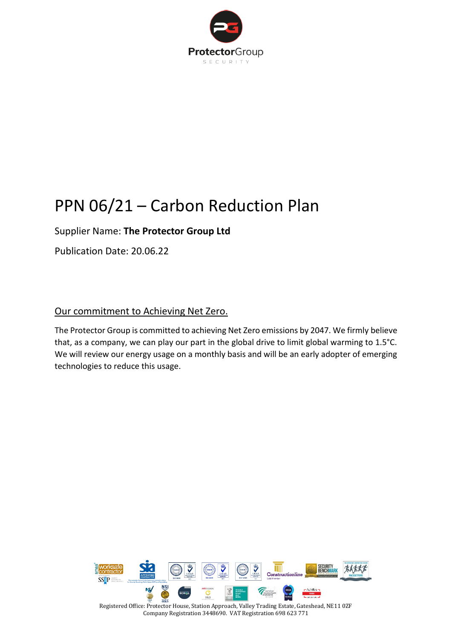

# PPN 06/21 – Carbon Reduction Plan

# Supplier Name: **The Protector Group Ltd**

Publication Date: 20.06.22

# Our commitment to Achieving Net Zero.

The Protector Group is committed to achieving Net Zero emissions by 2047. We firmly believe that, as a company, we can play our part in the global drive to limit global warming to 1.5°C. We will review our energy usage on a monthly basis and will be an early adopter of emerging technologies to reduce this usage.

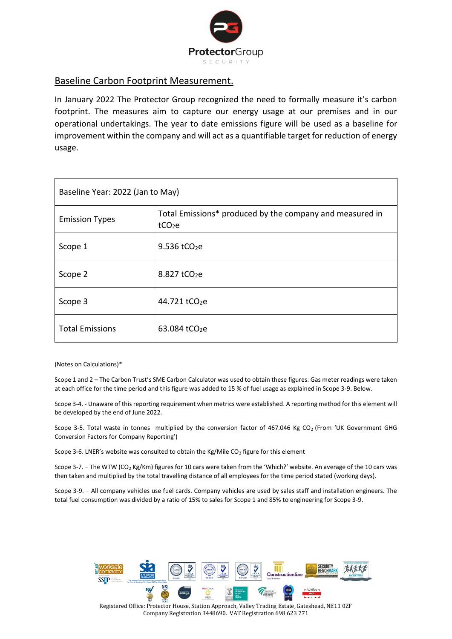

#### Baseline Carbon Footprint Measurement.

In January 2022 The Protector Group recognized the need to formally measure it's carbon footprint. The measures aim to capture our energy usage at our premises and in our operational undertakings. The year to date emissions figure will be used as a baseline for improvement within the company and will act as a quantifiable target for reduction of energy usage.

| Baseline Year: 2022 (Jan to May) |                                                                                |
|----------------------------------|--------------------------------------------------------------------------------|
| <b>Emission Types</b>            | Total Emissions* produced by the company and measured in<br>tCO <sub>2</sub> e |
| Scope 1                          | 9.536 tCO <sub>2</sub> e                                                       |
| Scope 2                          | 8.827 tCO <sub>2</sub> e                                                       |
| Scope 3                          | 44.721 tCO <sub>2</sub> e                                                      |
| <b>Total Emissions</b>           | 63.084 tCO <sub>2</sub> e                                                      |

(Notes on Calculations)\*

Scope 1 and 2 – The Carbon Trust's SME Carbon Calculator was used to obtain these figures. Gas meter readings were taken at each office for the time period and this figure was added to 15 % of fuel usage as explained in Scope 3-9. Below.

Scope 3-4. - Unaware of this reporting requirement when metrics were established. A reporting method for this element will be developed by the end of June 2022.

Scope 3-5. Total waste in tonnes multiplied by the conversion factor of 467.046 Kg CO<sub>2</sub> (From 'UK Government GHG Conversion Factors for Company Reporting')

Scope 3-6. LNER's website was consulted to obtain the Kg/Mile  $CO<sub>2</sub>$  figure for this element

Scope 3-7. – The WTW (CO<sub>2</sub> Kg/Km) figures for 10 cars were taken from the 'Which?' website. An average of the 10 cars was then taken and multiplied by the total travelling distance of all employees for the time period stated (working days).

Scope 3-9. – All company vehicles use fuel cards. Company vehicles are used by sales staff and installation engineers. The total fuel consumption was divided by a ratio of 15% to sales for Scope 1 and 85% to engineering for Scope 3-9.

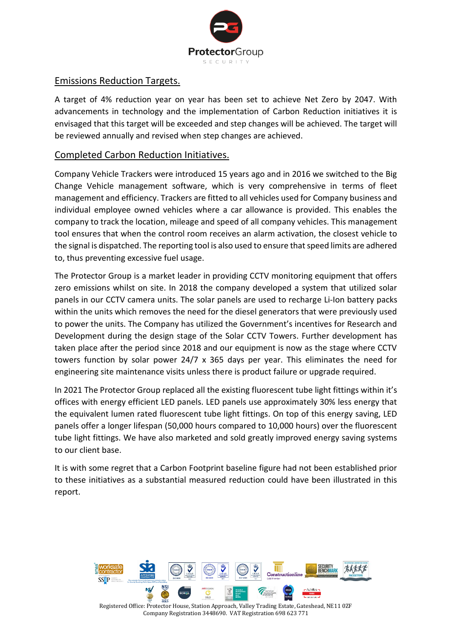

#### Emissions Reduction Targets.

A target of 4% reduction year on year has been set to achieve Net Zero by 2047. With advancements in technology and the implementation of Carbon Reduction initiatives it is envisaged that this target will be exceeded and step changes will be achieved. The target will be reviewed annually and revised when step changes are achieved.

### Completed Carbon Reduction Initiatives.

Company Vehicle Trackers were introduced 15 years ago and in 2016 we switched to the Big Change Vehicle management software, which is very comprehensive in terms of fleet management and efficiency. Trackers are fitted to all vehicles used for Company business and individual employee owned vehicles where a car allowance is provided. This enables the company to track the location, mileage and speed of all company vehicles. This management tool ensures that when the control room receives an alarm activation, the closest vehicle to the signal is dispatched. The reporting tool is also used to ensure that speed limits are adhered to, thus preventing excessive fuel usage.

The Protector Group is a market leader in providing CCTV monitoring equipment that offers zero emissions whilst on site. In 2018 the company developed a system that utilized solar panels in our CCTV camera units. The solar panels are used to recharge Li-Ion battery packs within the units which removes the need for the diesel generators that were previously used to power the units. The Company has utilized the Government's incentives for Research and Development during the design stage of the Solar CCTV Towers. Further development has taken place after the period since 2018 and our equipment is now as the stage where CCTV towers function by solar power 24/7 x 365 days per year. This eliminates the need for engineering site maintenance visits unless there is product failure or upgrade required.

In 2021 The Protector Group replaced all the existing fluorescent tube light fittings within it's offices with energy efficient LED panels. LED panels use approximately 30% less energy that the equivalent lumen rated fluorescent tube light fittings. On top of this energy saving, LED panels offer a longer lifespan (50,000 hours compared to 10,000 hours) over the fluorescent tube light fittings. We have also marketed and sold greatly improved energy saving systems to our client base.

It is with some regret that a Carbon Footprint baseline figure had not been established prior to these initiatives as a substantial measured reduction could have been illustrated in this report.

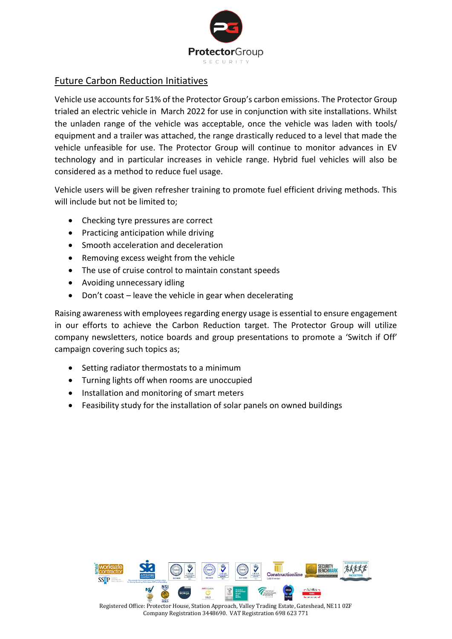

## Future Carbon Reduction Initiatives

Vehicle use accounts for 51% of the Protector Group's carbon emissions. The Protector Group trialed an electric vehicle in March 2022 for use in conjunction with site installations. Whilst the unladen range of the vehicle was acceptable, once the vehicle was laden with tools/ equipment and a trailer was attached, the range drastically reduced to a level that made the vehicle unfeasible for use. The Protector Group will continue to monitor advances in EV technology and in particular increases in vehicle range. Hybrid fuel vehicles will also be considered as a method to reduce fuel usage.

Vehicle users will be given refresher training to promote fuel efficient driving methods. This will include but not be limited to;

- Checking tyre pressures are correct
- Practicing anticipation while driving
- Smooth acceleration and deceleration
- Removing excess weight from the vehicle
- The use of cruise control to maintain constant speeds
- Avoiding unnecessary idling
- Don't coast leave the vehicle in gear when decelerating

Raising awareness with employees regarding energy usage is essential to ensure engagement in our efforts to achieve the Carbon Reduction target. The Protector Group will utilize company newsletters, notice boards and group presentations to promote a 'Switch if Off' campaign covering such topics as;

- Setting radiator thermostats to a minimum
- Turning lights off when rooms are unoccupied
- Installation and monitoring of smart meters
- Feasibility study for the installation of solar panels on owned buildings